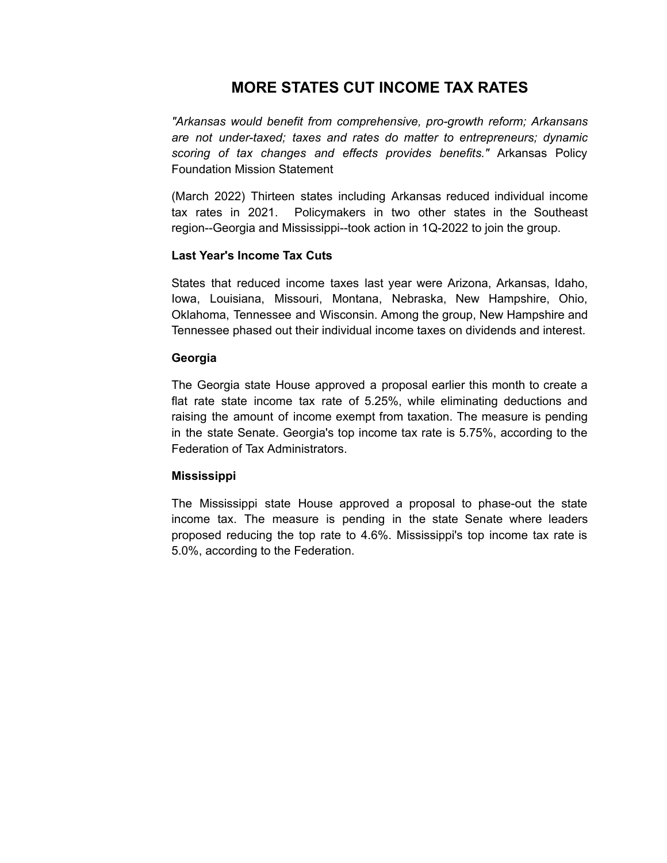# **MORE STATES CUT INCOME TAX RATES**

*"Arkansas would benefit from comprehensive, pro-growth reform; Arkansans are not under-taxed; taxes and rates do matter to entrepreneurs; dynamic scoring of tax changes and effects provides benefits."* Arkansas Policy Foundation Mission Statement

(March 2022) Thirteen states including Arkansas reduced individual income tax rates in 2021. Policymakers in two other states in the Southeast region--Georgia and Mississippi--took action in 1Q-2022 to join the group.

#### **Last Year's Income Tax Cuts**

States that reduced income taxes last year were Arizona, Arkansas, Idaho, Iowa, Louisiana, Missouri, Montana, Nebraska, New Hampshire, Ohio, Oklahoma, Tennessee and Wisconsin. Among the group, New Hampshire and Tennessee phased out their individual income taxes on dividends and interest.

#### **Georgia**

The Georgia state House approved a proposal earlier this month to create a flat rate state income tax rate of 5.25%, while eliminating deductions and raising the amount of income exempt from taxation. The measure is pending in the state Senate. Georgia's top income tax rate is 5.75%, according to the Federation of Tax Administrators.

## **Mississippi**

The Mississippi state House approved a proposal to phase-out the state income tax. The measure is pending in the state Senate where leaders proposed reducing the top rate to 4.6%. Mississippi's top income tax rate is 5.0%, according to the Federation.